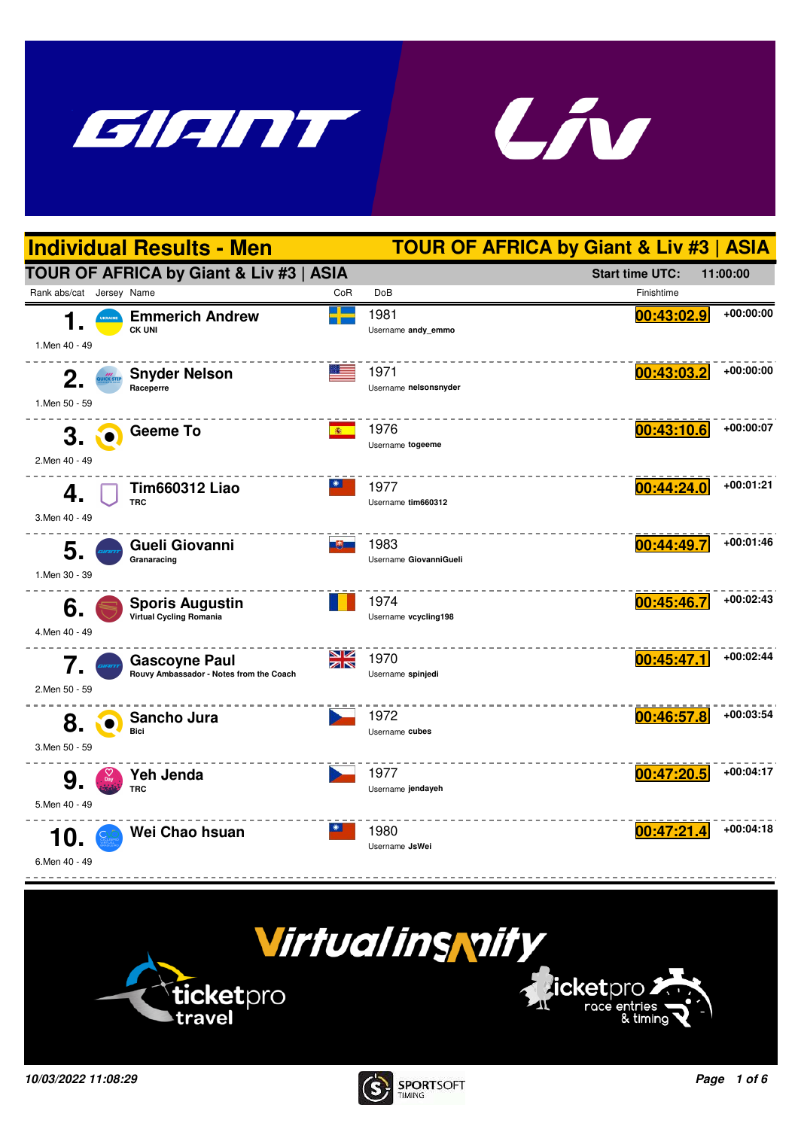







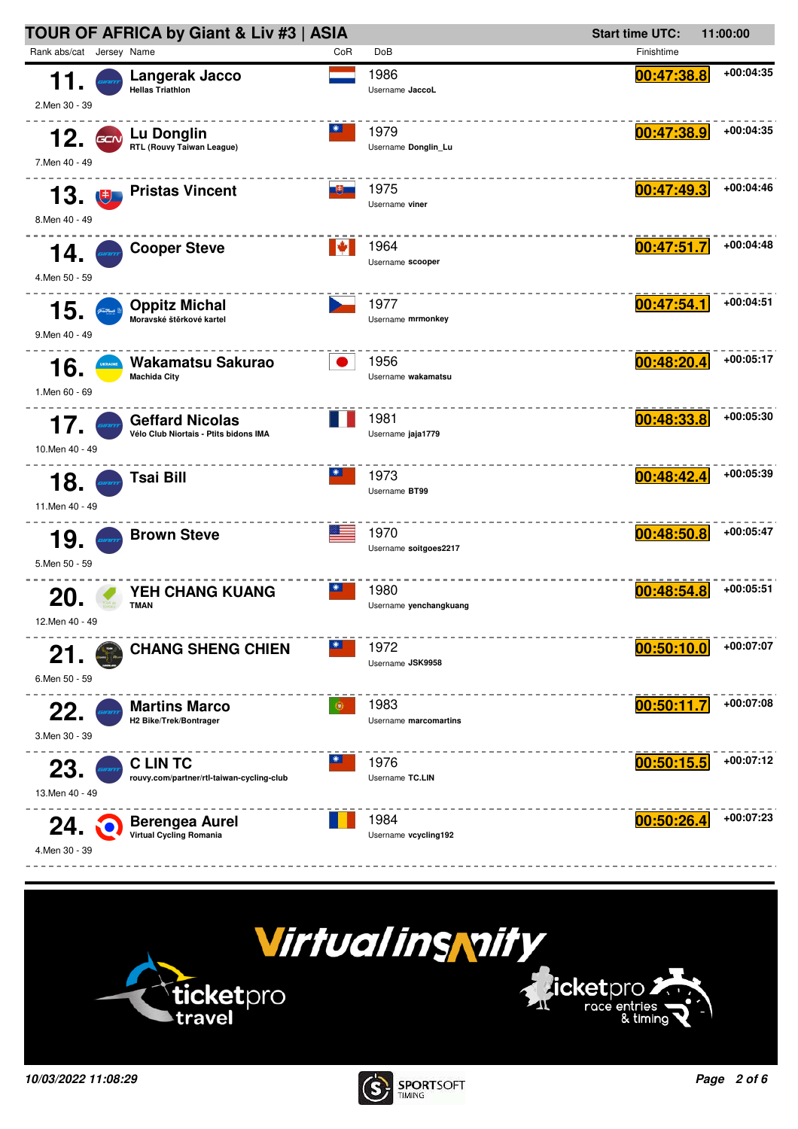



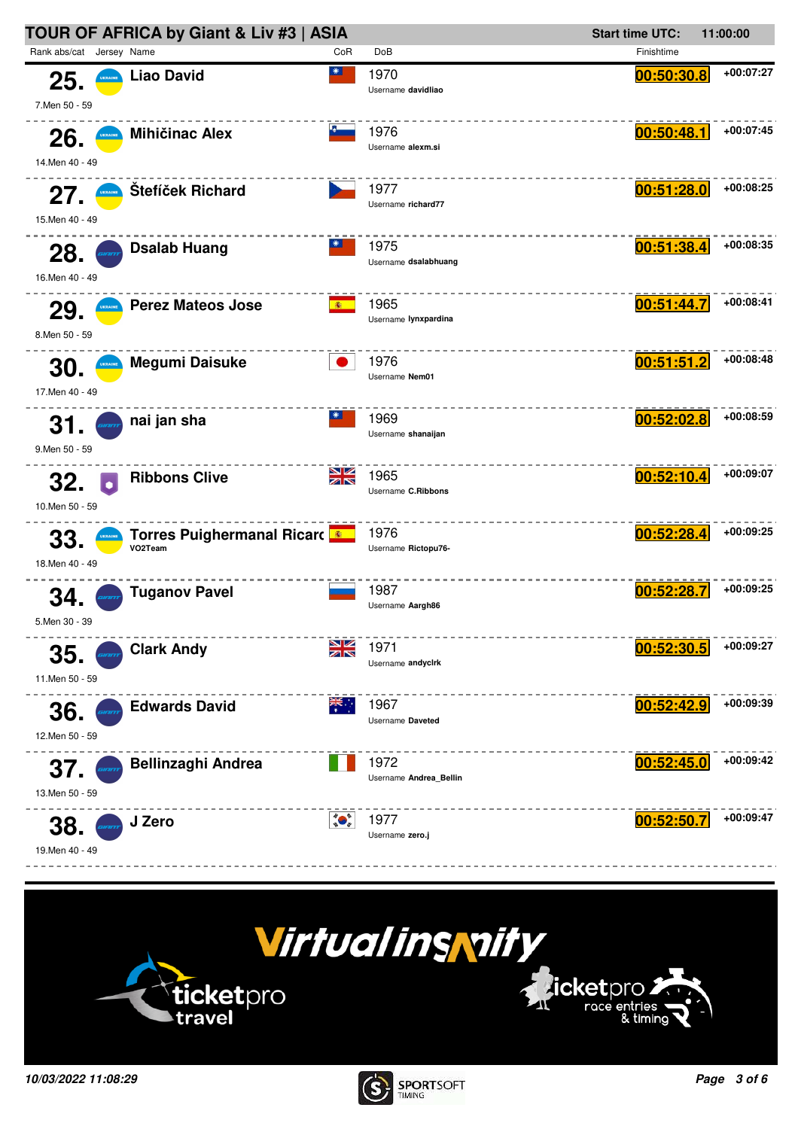



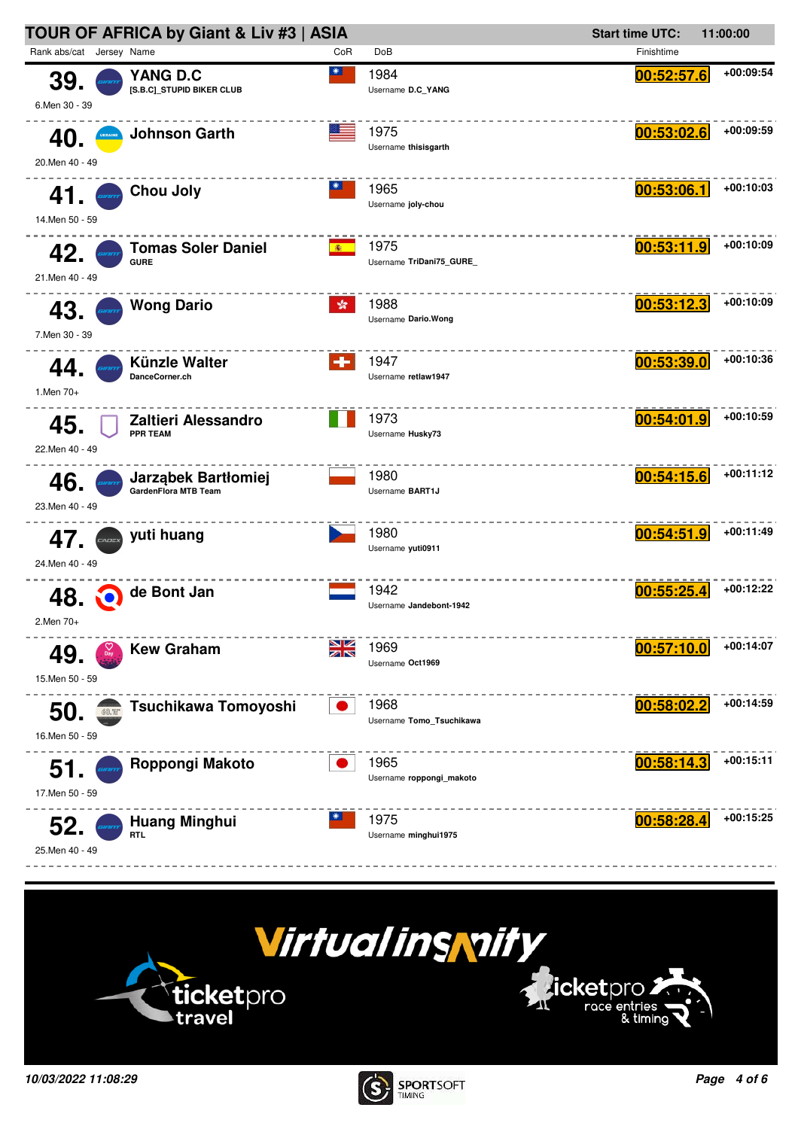



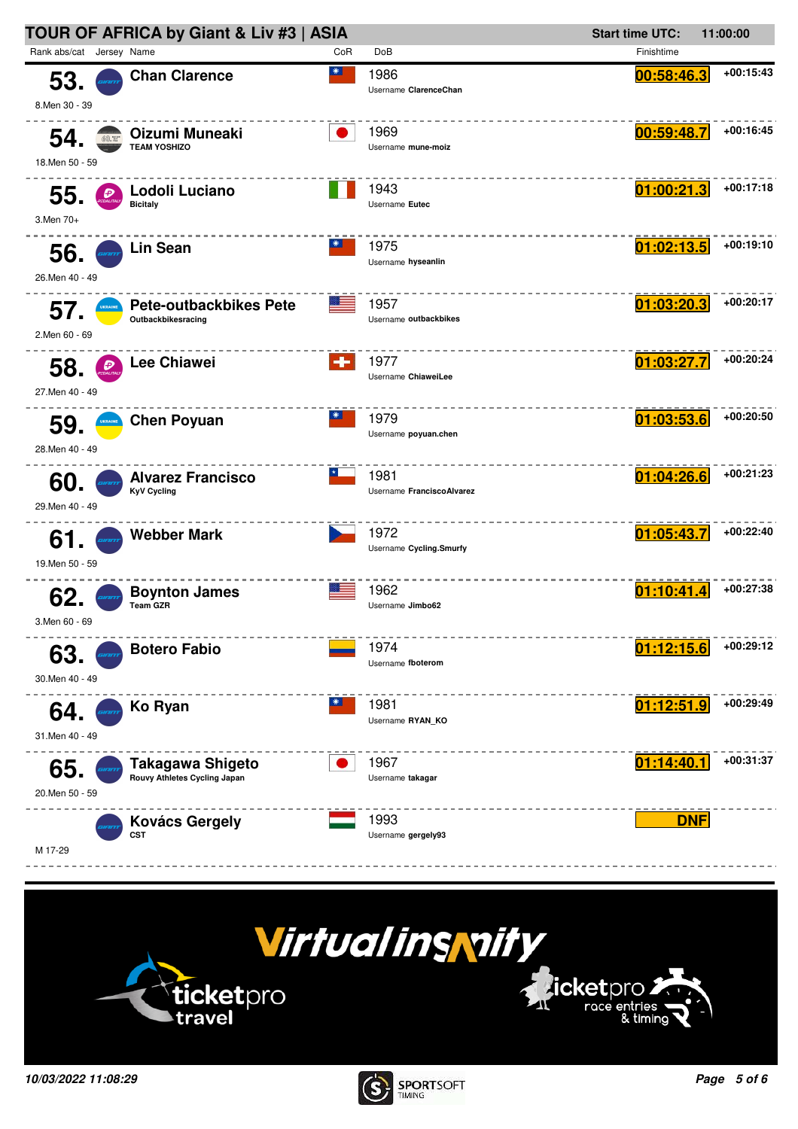